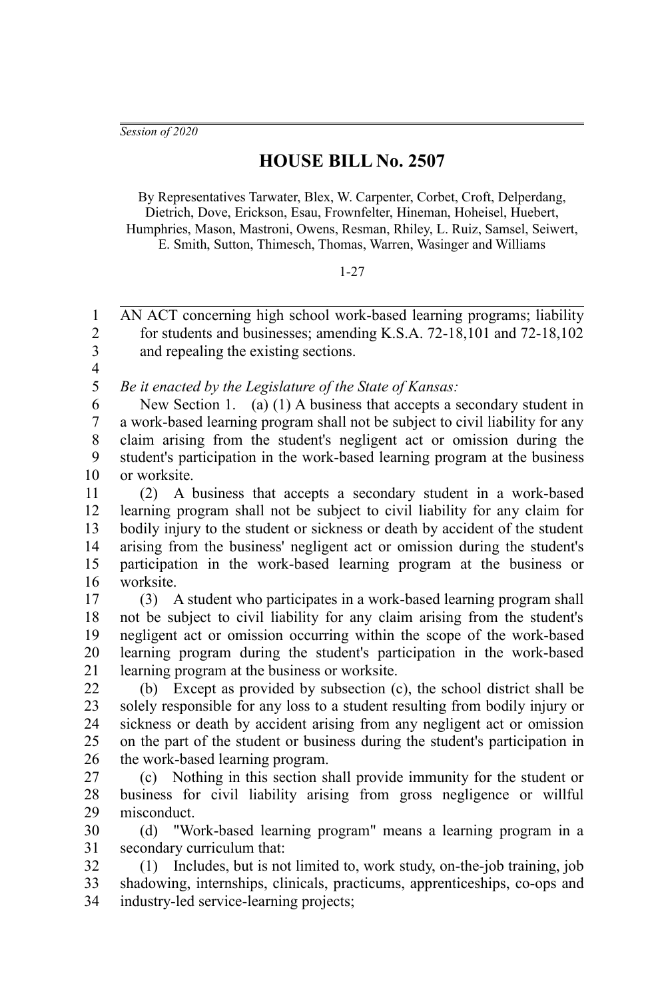*Session of 2020*

## **HOUSE BILL No. 2507**

By Representatives Tarwater, Blex, W. Carpenter, Corbet, Croft, Delperdang, Dietrich, Dove, Erickson, Esau, Frownfelter, Hineman, Hoheisel, Huebert, Humphries, Mason, Mastroni, Owens, Resman, Rhiley, L. Ruiz, Samsel, Seiwert, E. Smith, Sutton, Thimesch, Thomas, Warren, Wasinger and Williams

## 1-27

AN ACT concerning high school work-based learning programs; liability for students and businesses; amending K.S.A. 72-18,101 and 72-18,102 and repealing the existing sections. 1  $\overline{2}$ 3

4

*Be it enacted by the Legislature of the State of Kansas:* 5

New Section 1. (a) (1) A business that accepts a secondary student in a work-based learning program shall not be subject to civil liability for any claim arising from the student's negligent act or omission during the student's participation in the work-based learning program at the business or worksite. 6 7 8 9 10

(2) A business that accepts a secondary student in a work-based learning program shall not be subject to civil liability for any claim for bodily injury to the student or sickness or death by accident of the student arising from the business' negligent act or omission during the student's participation in the work-based learning program at the business or worksite. 11 12 13 14 15 16

(3) A student who participates in a work-based learning program shall not be subject to civil liability for any claim arising from the student's negligent act or omission occurring within the scope of the work-based learning program during the student's participation in the work-based learning program at the business or worksite. 17 18 19 20 21

(b) Except as provided by subsection (c), the school district shall be solely responsible for any loss to a student resulting from bodily injury or sickness or death by accident arising from any negligent act or omission on the part of the student or business during the student's participation in the work-based learning program. 22 23 24 25 26

(c) Nothing in this section shall provide immunity for the student or business for civil liability arising from gross negligence or willful misconduct. 27 28 29

(d) "Work-based learning program" means a learning program in a secondary curriculum that: 30 31

(1) Includes, but is not limited to, work study, on-the-job training, job shadowing, internships, clinicals, practicums, apprenticeships, co-ops and industry-led service-learning projects; 32 33 34